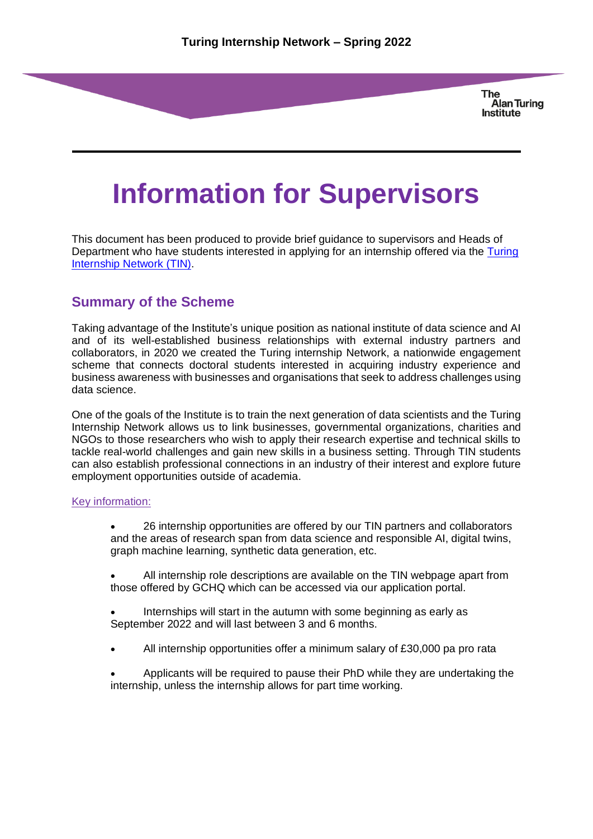**The Alan Turing Institute** 

# **Information for Supervisors**

This document has been produced to provide brief guidance to supervisors and Heads of Department who have students interested in applying for an internship offered via the [Turing](https://www.turing.ac.uk/collaborate-turing/internships#:~:text=Launched%20in%20July%202020%2C%20the%20Turing%20Internship%20Network,put%20forward%20by%20industry%20with%20talented%20doctoral%20students.)  [Internship Network](https://www.turing.ac.uk/collaborate-turing/internships#:~:text=Launched%20in%20July%202020%2C%20the%20Turing%20Internship%20Network,put%20forward%20by%20industry%20with%20talented%20doctoral%20students.) (TIN).

#### **Summary of the Scheme**

Taking advantage of the Institute's unique position as national institute of data science and AI and of its well-established business relationships with external industry partners and collaborators, in 2020 we created the Turing internship Network, a nationwide engagement scheme that connects doctoral students interested in acquiring industry experience and business awareness with businesses and organisations that seek to address challenges using data science.

One of the goals of the Institute is to train the next generation of data scientists and the Turing Internship Network allows us to link businesses, governmental organizations, charities and NGOs to those researchers who wish to apply their research expertise and technical skills to tackle real-world challenges and gain new skills in a business setting. Through TIN students can also establish professional connections in an industry of their interest and explore future employment opportunities outside of academia.

#### Key information:

• 26 internship opportunities are offered by our TIN partners and collaborators and the areas of research span from data science and responsible AI, digital twins, graph machine learning, synthetic data generation, etc.

• All internship role descriptions are available on the TIN webpage apart from those offered by GCHQ which can be accessed via our application portal.

• Internships will start in the autumn with some beginning as early as September 2022 and will last between 3 and 6 months.

• All internship opportunities offer a minimum salary of £30,000 pa pro rata

• Applicants will be required to pause their PhD while they are undertaking the internship, unless the internship allows for part time working.